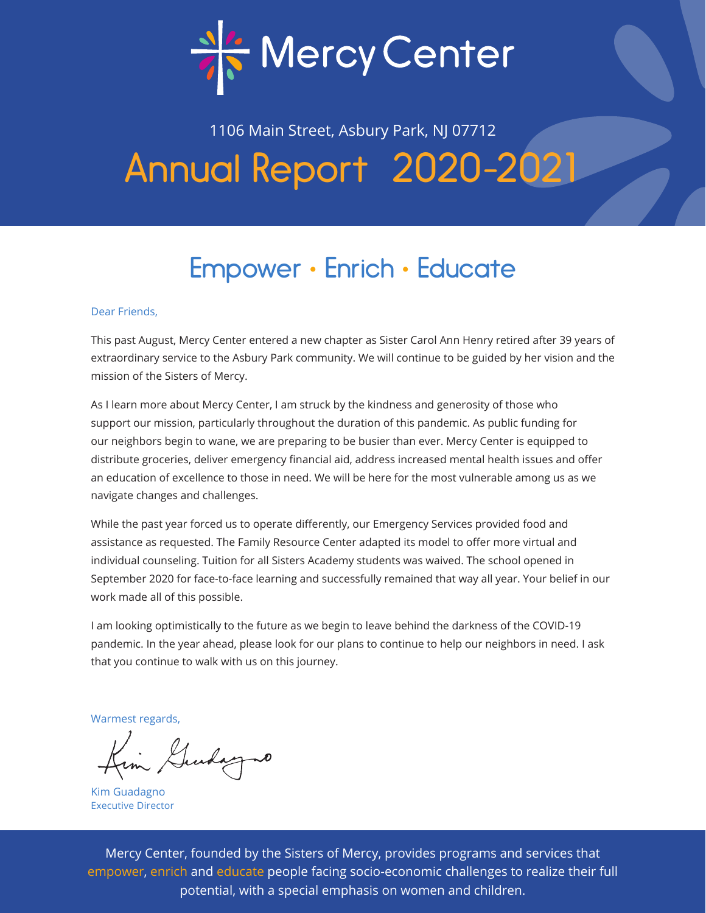

# 1106 Main Street, Asbury Park, NJ 07712 Annual Report 2020-2021

## Empower • Enrich • Educate

### Dear Friends,

This past August, Mercy Center entered a new chapter as Sister Carol Ann Henry retired after 39 years of extraordinary service to the Asbury Park community. We will continue to be guided by her vision and the mission of the Sisters of Mercy.

As I learn more about Mercy Center, I am struck by the kindness and generosity of those who support our mission, particularly throughout the duration of this pandemic. As public funding for our neighbors begin to wane, we are preparing to be busier than ever. Mercy Center is equipped to distribute groceries, deliver emergency financial aid, address increased mental health issues and offer an education of excellence to those in need. We will be here for the most vulnerable among us as we navigate changes and challenges.

While the past year forced us to operate differently, our Emergency Services provided food and assistance as requested. The Family Resource Center adapted its model to offer more virtual and individual counseling. Tuition for all Sisters Academy students was waived. The school opened in September 2020 for face-to-face learning and successfully remained that way all year. Your belief in our work made all of this possible.

I am looking optimistically to the future as we begin to leave behind the darkness of the COVID-19 pandemic. In the year ahead, please look for our plans to continue to help our neighbors in need. I ask that you continue to walk with us on this journey.

Warmest regards,

Kim Gudayno

Kim Guadagno Executive Director

Mercy Center, founded by the Sisters of Mercy, provides programs and services that empower, enrich and educate people facing socio-economic challenges to realize their full potential, with a special emphasis on women and children.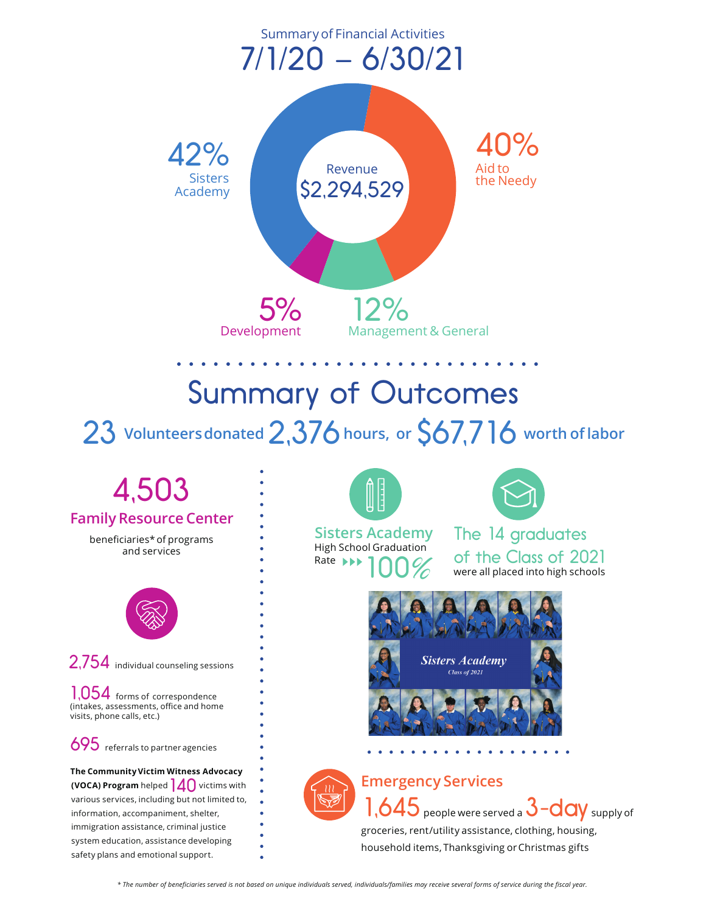

# Summary of Outcomes

23 **Volunteersdonated** 2,376 **hours, or** \$67,716 **worth of labor**

# 4,503

### **Family Resource Center**

beneficiaries\* of programs and services



2,754 individual counseling sessions

1,054 forms of correspondence (intakes, assessments, office and home visits, phone calls, etc.)

695 referrals to partner agencies

**The Community Victim Witness Advocacy (VOCA) Program** helped  $\overline{\mathcal{A}}$  **O** victims with various services, including but not limited to, information, accompaniment, shelter, immigration assistance, criminal justice system education, assistance developing safety plans and emotional support.



**Sisters Academy**<br>High School Graduation 100% Rate **NH** 



The 14 graduates of the Class of 2021 were all placed into high schools



### **Emergency Services**



 $1,645$  people were served a  $3$  –  $\overline{\mathrm{day}}$  supply of groceries, rent/utility assistance, clothing, housing, household items, Thanksgiving or Christmas gifts

*\* The number of beneficiaries served is not based on unique individuals served, individuals/families may receive several forms of service during the fiscal year.*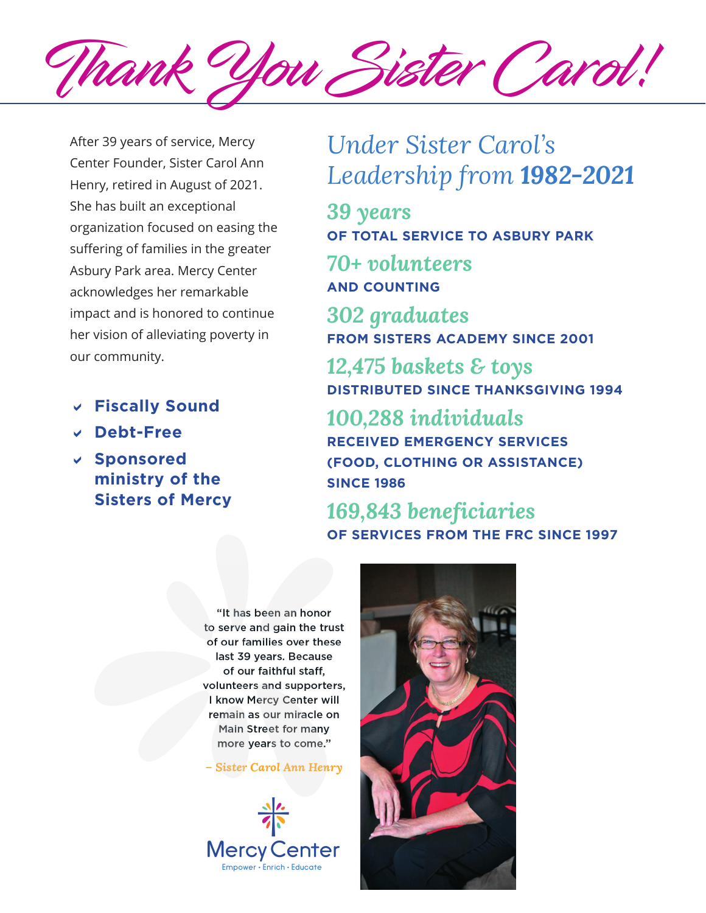Thank You Sister Carol!

After 39 years of service, Mercy Center Founder, Sister Carol Ann Henry, retired in August of 2021. She has built an exceptional organization focused on easing the suffering of families in the greater Asbury Park area. Mercy Center acknowledges her remarkable impact and is honored to continue her vision of alleviating poverty in our community.

- D **Fiscally Sound**
- D **Debt-Free**
- D **Sponsored ministry of the Sisters of Mercy**

## *Under Sister Carol's Leadership from 1982-2021*

*39 years* **OF TOTAL SERVICE TO ASBURY PARK**

*70+ volunteers*  **AND COUNTING**

*302 graduates*  **FROM SISTERS ACADEMY SINCE 2001**

*12,475 baskets & toys* **DISTRIBUTED SINCE THANKSGIVING 1994** 

*100,288 individuals*  **RECEIVED EMERGENCY SERVICES (FOOD, CLOTHING OR ASSISTANCE) SINCE 1986**

*169,843 beneficiaries*  **OF SERVICES FROM THE FRC SINCE 1997**

"It has been an honor to serve and gain the trust of our families over these last 39 years. Because of our faithful staff, volunteers and supporters, I know Mercy Center will remain as our miracle on Main Street for many more years to come."

- Sister Carol Ann Henry



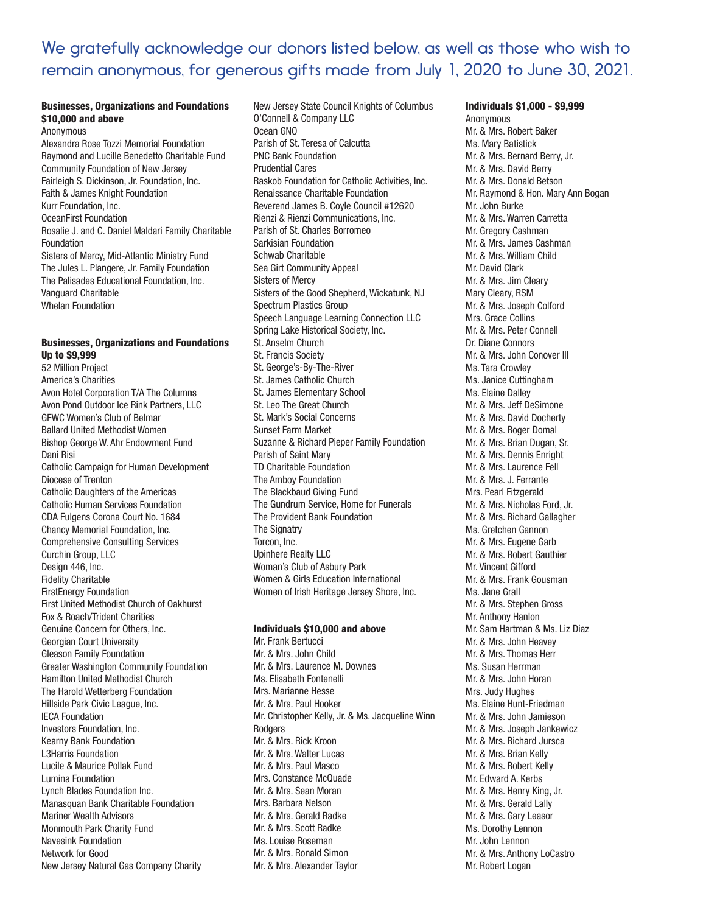## We gratefully acknowledge our donors listed below, as well as those who wish to remain anonymous, for generous gifts made from July 1, 2020 to June 30, 2021.

### Businesses, Organizations and Foundations \$10,000 and above

Anonymous Alexandra Rose Tozzi Memorial Foundation Raymond and Lucille Benedetto Charitable Fund Community Foundation of New Jersey Fairleigh S. Dickinson, Jr. Foundation, Inc. Faith & James Knight Foundation Kurr Foundation, Inc. OceanFirst Foundation Rosalie J. and C. Daniel Maldari Family Charitable Foundation Sisters of Mercy, Mid-Atlantic Ministry Fund The Jules L. Plangere, Jr. Family Foundation The Palisades Educational Foundation, Inc. Vanguard Charitable Whelan Foundation

#### Businesses, Organizations and Foundations Up to \$9,999

52 Million Project America's Charities Avon Hotel Corporation T/A The Columns Avon Pond Outdoor Ice Rink Partners, LLC GFWC Women's Club of Belmar Ballard United Methodist Women Bishop George W. Ahr Endowment Fund Dani Risi Catholic Campaign for Human Development Diocese of Trenton Catholic Daughters of the Americas Catholic Human Services Foundation CDA Fulgens Corona Court No. 1684 Chancy Memorial Foundation, Inc. Comprehensive Consulting Services Curchin Group, LLC Design 446, Inc. Fidelity Charitable FirstEnergy Foundation First United Methodist Church of Oakhurst Fox & Roach/Trident Charities Genuine Concern for Others, Inc. Georgian Court University Gleason Family Foundation Greater Washington Community Foundation Hamilton United Methodist Church The Harold Wetterberg Foundation Hillside Park Civic League, Inc. IECA Foundation Investors Foundation, Inc. Kearny Bank Foundation L3Harris Foundation Lucile & Maurice Pollak Fund Lumina Foundation Lynch Blades Foundation Inc. Manasquan Bank Charitable Foundation Mariner Wealth Advisors Monmouth Park Charity Fund Navesink Foundation Network for Good New Jersey Natural Gas Company Charity

New Jersey State Council Knights of Columbus O'Connell & Company LLC Ocean GNO Parish of St. Teresa of Calcutta PNC Bank Foundation Prudential Cares Raskob Foundation for Catholic Activities, Inc. Renaissance Charitable Foundation Reverend James B. Coyle Council #12620 Rienzi & Rienzi Communications, Inc. Parish of St. Charles Borromeo Sarkisian Foundation Schwab Charitable Sea Girt Community Appeal Sisters of Mercy Sisters of the Good Shepherd, Wickatunk, NJ Spectrum Plastics Group Speech Language Learning Connection LLC Spring Lake Historical Society, Inc. St. Anselm Church St. Francis Society St. George's-By-The-River St. James Catholic Church St. James Elementary School St. Leo The Great Church St. Mark's Social Concerns Sunset Farm Market Suzanne & Richard Pieper Family Foundation Parish of Saint Mary TD Charitable Foundation The Amboy Foundation The Blackbaud Giving Fund The Gundrum Service, Home for Funerals The Provident Bank Foundation The Signatry Torcon, Inc. Upinhere Realty LLC Woman's Club of Asbury Park Women & Girls Education International Women of Irish Heritage Jersey Shore, Inc.

### Individuals \$10,000 and above

Mr. Frank Bertucci Mr. & Mrs. John Child Mr. & Mrs. Laurence M. Downes Ms. Elisabeth Fontenelli Mrs. Marianne Hesse Mr. & Mrs. Paul Hooker Mr. Christopher Kelly, Jr. & Ms. Jacqueline Winn Rodgers Mr. & Mrs. Rick Kroon Mr. & Mrs. Walter Lucas Mr. & Mrs. Paul Masco Mrs. Constance McQuade Mr. & Mrs. Sean Moran Mrs. Barbara Nelson Mr. & Mrs. Gerald Radke Mr. & Mrs. Scott Radke Ms. Louise Roseman Mr. & Mrs. Ronald Simon Mr. & Mrs. Alexander Taylor

Individuals \$1,000 - \$9,999 Anonymous Mr. & Mrs. Robert Baker Ms. Mary Batistick Mr. & Mrs. Bernard Berry, Jr. Mr. & Mrs. David Berry Mr. & Mrs. Donald Betson Mr. Raymond & Hon. Mary Ann Bogan Mr. John Burke Mr. & Mrs. Warren Carretta Mr. Gregory Cashman Mr. & Mrs. James Cashman Mr. & Mrs. William Child Mr. David Clark Mr. & Mrs. Jim Cleary Mary Cleary, RSM Mr. & Mrs. Joseph Colford Mrs. Grace Collins Mr. & Mrs. Peter Connell Dr. Diane Connors Mr. & Mrs. John Conover III Ms. Tara Crowley Ms. Janice Cuttingham Ms. Elaine Dalley Mr. & Mrs. Jeff DeSimone Mr. & Mrs. David Docherty Mr. & Mrs. Roger Domal Mr. & Mrs. Brian Dugan, Sr. Mr. & Mrs. Dennis Enright Mr. & Mrs. Laurence Fell Mr. & Mrs. J. Ferrante Mrs. Pearl Fitzgerald Mr. & Mrs. Nicholas Ford, Jr. Mr. & Mrs. Richard Gallagher Ms. Gretchen Gannon Mr. & Mrs. Eugene Garb Mr. & Mrs. Robert Gauthier Mr. Vincent Gifford Mr. & Mrs. Frank Gousman Ms. Jane Grall Mr. & Mrs. Stephen Gross Mr. Anthony Hanlon Mr. Sam Hartman & Ms. Liz Diaz Mr. & Mrs. John Heavey Mr. & Mrs. Thomas Herr Ms. Susan Herrman Mr. & Mrs. John Horan Mrs. Judy Hughes Ms. Elaine Hunt-Friedman Mr. & Mrs. John Jamieson Mr. & Mrs. Joseph Jankewicz Mr. & Mrs. Richard Jursca Mr. & Mrs. Brian Kelly Mr. & Mrs. Robert Kelly Mr. Edward A. Kerbs Mr. & Mrs. Henry King, Jr. Mr. & Mrs. Gerald Lally Mr. & Mrs. Gary Leasor Ms. Dorothy Lennon Mr. John Lennon Mr. & Mrs. Anthony LoCastro Mr. Robert Logan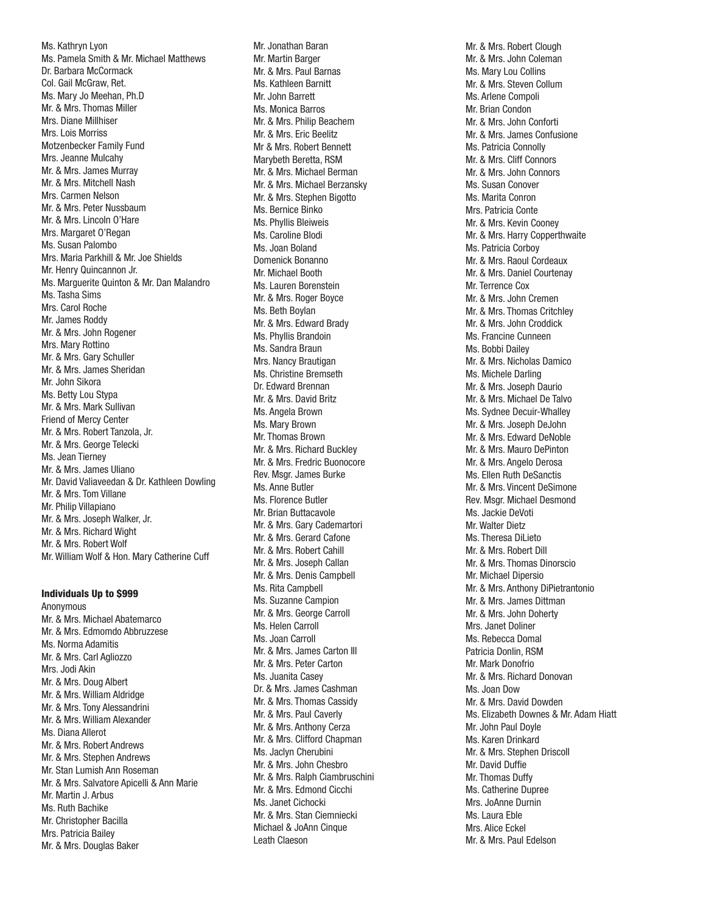Ms. Kathryn Lyon Ms. Pamela Smith & Mr. Michael Matthews Dr. Barbara McCormack Col. Gail McGraw, Ret. Ms. Mary Jo Meehan, Ph.D Mr. & Mrs. Thomas Miller Mrs. Diane Millhiser Mrs. Lois Morriss Motzenbecker Family Fund Mrs. Jeanne Mulcahy Mr. & Mrs. James Murray Mr. & Mrs. Mitchell Nash Mrs. Carmen Nelson Mr. & Mrs. Peter Nussbaum Mr. & Mrs. Lincoln O'Hare Mrs. Margaret O'Regan Ms. Susan Palombo Mrs. Maria Parkhill & Mr. Joe Shields Mr. Henry Quincannon Jr. Ms. Marguerite Quinton & Mr. Dan Malandro Ms. Tasha Sims Mrs. Carol Roche Mr. James Roddy Mr. & Mrs. John Rogener Mrs. Mary Rottino Mr. & Mrs. Gary Schuller Mr. & Mrs. James Sheridan Mr. John Sikora Ms. Betty Lou Stypa Mr. & Mrs. Mark Sullivan Friend of Mercy Center Mr. & Mrs. Robert Tanzola, Jr. Mr. & Mrs. George Telecki Ms. Jean Tierney Mr. & Mrs. James Uliano Mr. David Valiaveedan & Dr. Kathleen Dowling Mr. & Mrs. Tom Villane Mr. Philip Villapiano Mr. & Mrs. Joseph Walker, Jr. Mr. & Mrs. Richard Wight Mr. & Mrs. Robert Wolf Mr. William Wolf & Hon. Mary Catherine Cuff

#### Individuals Up to \$999

Anonymous Mr. & Mrs. Michael Abatemarco Mr. & Mrs. Edmomdo Abbruzzese Ms. Norma Adamitis Mr. & Mrs. Carl Agliozzo Mrs. Jodi Akin Mr. & Mrs. Doug Albert Mr. & Mrs. William Aldridge Mr. & Mrs. Tony Alessandrini Mr. & Mrs. William Alexander Ms. Diana Allerot Mr. & Mrs. Robert Andrews Mr. & Mrs. Stephen Andrews Mr. Stan Lumish Ann Roseman Mr. & Mrs. Salvatore Apicelli & Ann Marie Mr. Martin J. Arbus Ms. Ruth Bachike Mr. Christopher Bacilla Mrs. Patricia Bailey Mr. & Mrs. Douglas Baker

Mr. Jonathan Baran Mr. Martin Barger Mr. & Mrs. Paul Barnas Ms. Kathleen Barnitt Mr. John Barrett Ms. Monica Barros Mr. & Mrs. Philip Beachem Mr. & Mrs. Eric Beelitz Mr & Mrs. Robert Bennett Marybeth Beretta, RSM Mr. & Mrs. Michael Berman Mr. & Mrs. Michael Berzansky Mr. & Mrs. Stephen Bigotto Ms. Bernice Binko Ms. Phyllis Bleiweis Ms. Caroline Blodi Ms. Joan Boland Domenick Bonanno Mr. Michael Booth Ms. Lauren Borenstein Mr. & Mrs. Roger Boyce Ms. Beth Boylan Mr. & Mrs. Edward Brady Ms. Phyllis Brandoin Ms. Sandra Braun Mrs. Nancy Brautigan Ms. Christine Bremseth Dr. Edward Brennan Mr. & Mrs. David Britz Ms. Angela Brown Ms. Mary Brown Mr. Thomas Brown Mr. & Mrs. Richard Buckley Mr. & Mrs. Fredric Buonocore Rev. Msgr. James Burke Ms. Anne Butler Ms. Florence Butler Mr. Brian Buttacavole Mr. & Mrs. Gary Cademartori Mr. & Mrs. Gerard Cafone Mr. & Mrs. Robert Cahill Mr. & Mrs. Joseph Callan Mr. & Mrs. Denis Campbell Ms. Rita Campbell Ms. Suzanne Campion Mr. & Mrs. George Carroll Ms. Helen Carroll Ms. Joan Carroll Mr. & Mrs. James Carton III Mr. & Mrs. Peter Carton Ms. Juanita Casey Dr. & Mrs. James Cashman Mr. & Mrs. Thomas Cassidy Mr. & Mrs. Paul Caverly Mr. & Mrs. Anthony Cerza Mr. & Mrs. Clifford Chapman Ms. Jaclyn Cherubini Mr. & Mrs. John Chesbro Mr. & Mrs. Ralph Ciambruschini Mr. & Mrs. Edmond Cicchi Ms. Janet Cichocki Mr. & Mrs. Stan Ciemniecki Michael & JoAnn Cinque Leath Claeson

Mr. & Mrs. Robert Clough Mr. & Mrs. John Coleman Ms. Mary Lou Collins Mr. & Mrs. Steven Collum Ms. Arlene Compoli Mr. Brian Condon Mr. & Mrs. John Conforti Mr. & Mrs. James Confusione Ms. Patricia Connolly Mr. & Mrs. Cliff Connors Mr. & Mrs. John Connors Ms. Susan Conover Ms. Marita Conron Mrs. Patricia Conte Mr. & Mrs. Kevin Cooney Mr. & Mrs. Harry Copperthwaite Ms. Patricia Corboy Mr. & Mrs. Raoul Cordeaux Mr. & Mrs. Daniel Courtenay Mr. Terrence Cox Mr. & Mrs. John Cremen Mr. & Mrs. Thomas Critchley Mr. & Mrs. John Croddick Ms. Francine Cunneen Ms. Bobbi Dailey Mr. & Mrs. Nicholas Damico Ms. Michele Darling Mr. & Mrs. Joseph Daurio Mr. & Mrs. Michael De Talvo Ms. Sydnee Decuir-Whalley Mr. & Mrs. Joseph DeJohn Mr. & Mrs. Edward DeNoble Mr. & Mrs. Mauro DePinton Mr. & Mrs. Angelo Derosa Ms. Ellen Ruth DeSanctis Mr. & Mrs. Vincent DeSimone Rev. Msgr. Michael Desmond Ms. Jackie DeVoti Mr. Walter Dietz Ms. Theresa DiLieto Mr. & Mrs. Robert Dill Mr. & Mrs. Thomas Dinorscio Mr. Michael Dipersio Mr. & Mrs. Anthony DiPietrantonio Mr. & Mrs. James Dittman Mr. & Mrs. John Doherty Mrs. Janet Doliner Ms. Rebecca Domal Patricia Donlin, RSM Mr. Mark Donofrio Mr. & Mrs. Richard Donovan Ms. Joan Dow Mr. & Mrs. David Dowden Ms. Elizabeth Downes & Mr. Adam Hiatt Mr. John Paul Doyle Ms. Karen Drinkard Mr. & Mrs. Stephen Driscoll Mr. David Duffie Mr. Thomas Duffy Ms. Catherine Dupree Mrs. JoAnne Durnin Ms. Laura Eble Mrs. Alice Eckel Mr. & Mrs. Paul Edelson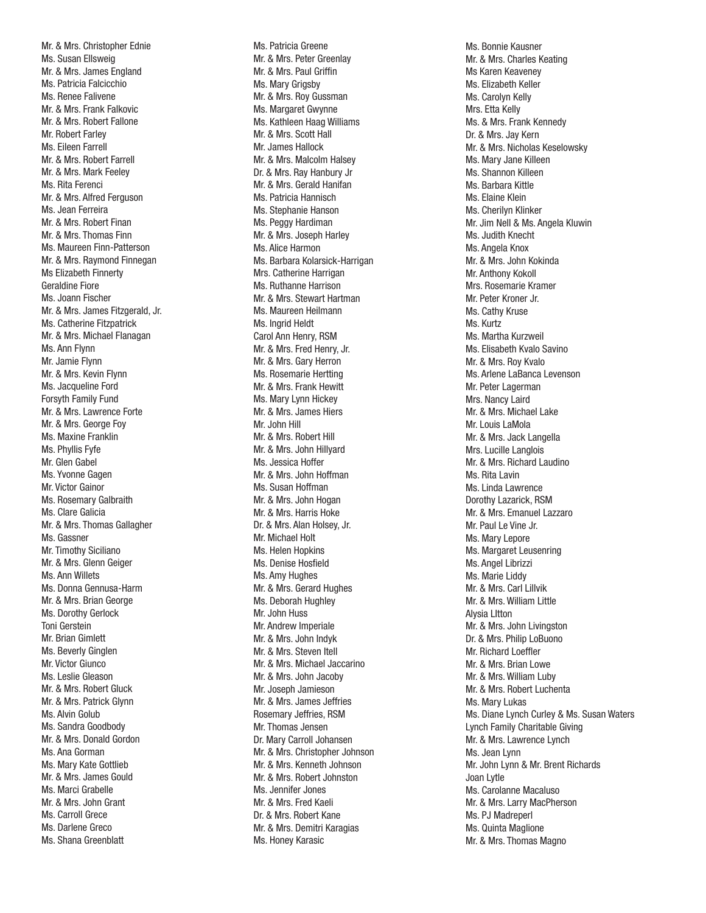Mr. & Mrs. Christopher Ednie Ms. Susan Ellsweig Mr. & Mrs. James England Ms. Patricia Falcicchio Ms. Renee Falivene Mr. & Mrs. Frank Falkovic Mr. & Mrs. Robert Fallone Mr. Robert Farley Ms. Eileen Farrell Mr. & Mrs. Robert Farrell Mr. & Mrs. Mark Feeley Ms. Rita Ferenci Mr. & Mrs. Alfred Ferguson Ms. Jean Ferreira Mr. & Mrs. Robert Finan Mr. & Mrs. Thomas Finn Ms. Maureen Finn-Patterson Mr. & Mrs. Raymond Finnegan Ms Elizabeth Finnerty Geraldine Fiore Ms. Joann Fischer Mr. & Mrs. James Fitzgerald, Jr. Ms. Catherine Fitzpatrick Mr. & Mrs. Michael Flanagan Ms. Ann Flynn Mr. Jamie Flynn Mr. & Mrs. Kevin Flynn Ms. Jacqueline Ford Forsyth Family Fund Mr. & Mrs. Lawrence Forte Mr. & Mrs. George Foy Ms. Maxine Franklin Ms. Phyllis Fyfe Mr. Glen Gabel Ms. Yvonne Gagen Mr. Victor Gainor Ms. Rosemary Galbraith Ms. Clare Galicia Mr. & Mrs. Thomas Gallagher Ms. Gassner Mr. Timothy Siciliano Mr. & Mrs. Glenn Geiger Ms. Ann Willets Ms. Donna Gennusa-Harm Mr. & Mrs. Brian George Ms. Dorothy Gerlock Toni Gerstein Mr. Brian Gimlett Ms. Beverly Ginglen Mr. Victor Giunco Ms. Leslie Gleason Mr. & Mrs. Robert Gluck Mr. & Mrs. Patrick Glynn Ms. Alvin Golub Ms. Sandra Goodbody Mr. & Mrs. Donald Gordon Ms. Ana Gorman Ms. Mary Kate Gottlieb Mr. & Mrs. James Gould Ms. Marci Grabelle Mr. & Mrs. John Grant Ms. Carroll Grece Ms. Darlene Greco Ms. Shana Greenblatt

Ms. Patricia Greene Mr. & Mrs. Peter Greenlay Mr. & Mrs. Paul Griffin Ms. Mary Grigsby Mr. & Mrs. Roy Gussman Ms. Margaret Gwynne Ms. Kathleen Haag Williams Mr. & Mrs. Scott Hall Mr. James Hallock Mr. & Mrs. Malcolm Halsey Dr. & Mrs. Ray Hanbury Jr Mr. & Mrs. Gerald Hanifan Ms. Patricia Hannisch Ms. Stephanie Hanson Ms. Peggy Hardiman Mr. & Mrs. Joseph Harley Ms. Alice Harmon Ms. Barbara Kolarsick-Harrigan Mrs. Catherine Harrigan Ms. Ruthanne Harrison Mr. & Mrs. Stewart Hartman Ms. Maureen Heilmann Ms. Ingrid Heldt Carol Ann Henry, RSM Mr. & Mrs. Fred Henry, Jr. Mr. & Mrs. Gary Herron Ms. Rosemarie Hertting Mr. & Mrs. Frank Hewitt Ms. Mary Lynn Hickey Mr. & Mrs. James Hiers Mr. John Hill Mr. & Mrs. Robert Hill Mr. & Mrs. John Hillyard Ms. Jessica Hoffer Mr. & Mrs. John Hoffman Ms. Susan Hoffman Mr. & Mrs. John Hogan Mr. & Mrs. Harris Hoke Dr. & Mrs. Alan Holsey, Jr. Mr. Michael Holt Ms. Helen Hopkins Ms. Denise Hosfield Ms. Amy Hughes Mr. & Mrs. Gerard Hughes Ms. Deborah Hughley Mr. John Huss Mr. Andrew Imperiale Mr. & Mrs. John Indyk Mr. & Mrs. Steven Itell Mr. & Mrs. Michael Jaccarino Mr. & Mrs. John Jacoby Mr. Joseph Jamieson Mr. & Mrs. James Jeffries Rosemary Jeffries, RSM Mr. Thomas Jensen Dr. Mary Carroll Johansen Mr. & Mrs. Christopher Johnson Mr. & Mrs. Kenneth Johnson Mr. & Mrs. Robert Johnston Ms. Jennifer Jones Mr. & Mrs. Fred Kaeli Dr. & Mrs. Robert Kane Mr. & Mrs. Demitri Karagias Ms. Honey Karasic

Ms. Bonnie Kausner Mr. & Mrs. Charles Keating Ms Karen Keaveney Ms. Elizabeth Keller Ms. Carolyn Kelly Mrs. Etta Kelly Ms. & Mrs. Frank Kennedy Dr. & Mrs. Jay Kern Mr. & Mrs. Nicholas Keselowsky Ms. Mary Jane Killeen Ms. Shannon Killeen Ms. Barbara Kittle Ms. Elaine Klein Ms. Cherilyn Klinker Mr. Jim Nell & Ms. Angela Kluwin Ms. Judith Knecht Ms. Angela Knox Mr. & Mrs. John Kokinda Mr. Anthony Kokoll Mrs. Rosemarie Kramer Mr. Peter Kroner Jr. Ms. Cathy Kruse Ms. Kurtz Ms. Martha Kurzweil Ms. Elisabeth Kvalo Savino Mr. & Mrs. Roy Kvalo Ms. Arlene LaBanca Levenson Mr. Peter Lagerman Mrs. Nancy Laird Mr. & Mrs. Michael Lake Mr. Louis LaMola Mr. & Mrs. Jack Langella Mrs. Lucille Langlois Mr. & Mrs. Richard Laudino Ms. Rita Lavin Ms. Linda Lawrence Dorothy Lazarick, RSM Mr. & Mrs. Emanuel Lazzaro Mr. Paul Le Vine Jr. Ms. Mary Lepore Ms. Margaret Leusenring Ms. Angel Librizzi Ms. Marie Liddy Mr. & Mrs. Carl Lillvik Mr. & Mrs. William Little Alysia LItton Mr. & Mrs. John Livingston Dr. & Mrs. Philip LoBuono Mr. Richard Loeffler Mr. & Mrs. Brian Lowe Mr. & Mrs. William Luby Mr. & Mrs. Robert Luchenta Ms. Mary Lukas Ms. Diane Lynch Curley & Ms. Susan Waters Lynch Family Charitable Giving Mr. & Mrs. Lawrence Lynch Ms. Jean Lynn Mr. John Lynn & Mr. Brent Richards Joan Lytle Ms. Carolanne Macaluso Mr. & Mrs. Larry MacPherson Ms. PJ Madreperl Ms. Quinta Maglione Mr. & Mrs. Thomas Magno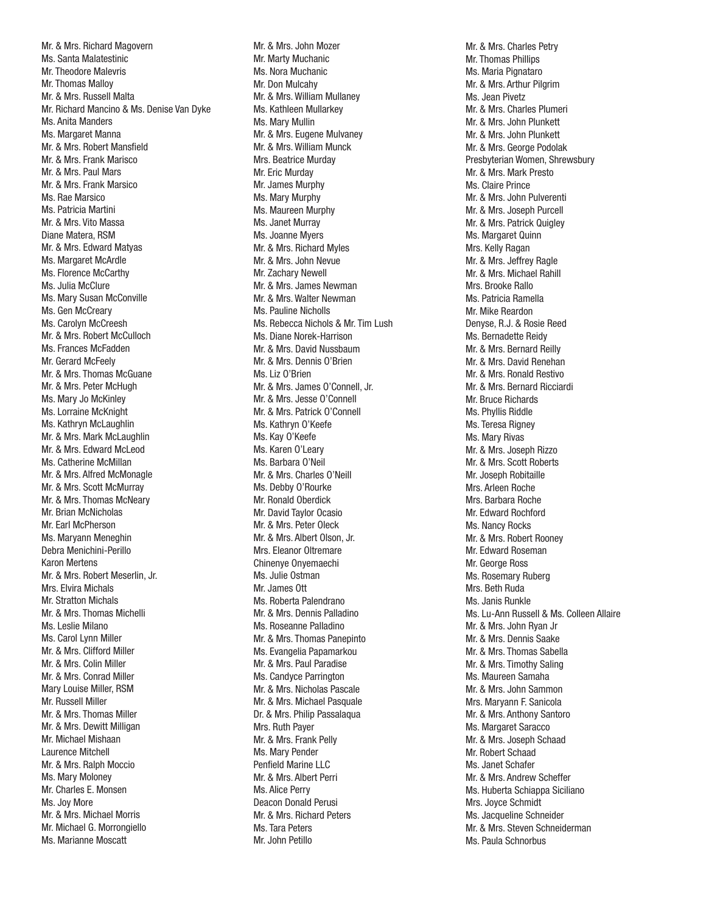Mr. & Mrs. Richard Magovern Ms. Santa Malatestinic Mr. Theodore Malevris Mr. Thomas Malloy Mr. & Mrs. Russell Malta Mr. Richard Mancino & Ms. Denise Van Dyke Ms. Anita Manders Ms. Margaret Manna Mr. & Mrs. Robert Mansfield Mr. & Mrs. Frank Marisco Mr. & Mrs. Paul Mars Mr. & Mrs. Frank Marsico Ms. Rae Marsico Ms. Patricia Martini Mr. & Mrs. Vito Massa Diane Matera, RSM Mr. & Mrs. Edward Matyas Ms. Margaret McArdle Ms. Florence McCarthy Ms. Julia McClure Ms. Mary Susan McConville Ms. Gen McCreary Ms. Carolyn McCreesh Mr. & Mrs. Robert McCulloch Ms. Frances McFadden Mr. Gerard McFeely Mr. & Mrs. Thomas McGuane Mr. & Mrs. Peter McHugh Ms. Mary Jo McKinley Ms. Lorraine McKnight Ms. Kathryn McLaughlin Mr. & Mrs. Mark McLaughlin Mr. & Mrs. Edward McLeod Ms. Catherine McMillan Mr. & Mrs. Alfred McMonagle Mr. & Mrs. Scott McMurray Mr. & Mrs. Thomas McNeary Mr. Brian McNicholas Mr. Earl McPherson Ms. Maryann Meneghin Debra Menichini-Perillo Karon Mertens Mr. & Mrs. Robert Meserlin, Jr. Mrs. Elvira Michals Mr. Stratton Michals Mr. & Mrs. Thomas Michelli Ms. Leslie Milano Ms. Carol Lynn Miller Mr. & Mrs. Clifford Miller Mr. & Mrs. Colin Miller Mr. & Mrs. Conrad Miller Mary Louise Miller, RSM Mr. Russell Miller Mr. & Mrs. Thomas Miller Mr. & Mrs. Dewitt Milligan Mr. Michael Mishaan Laurence Mitchell Mr. & Mrs. Ralph Moccio Ms. Mary Moloney Mr. Charles E. Monsen Ms. Joy More Mr. & Mrs. Michael Morris Mr. Michael G. Morrongiello Ms. Marianne Moscatt

Mr. & Mrs. John Mozer Mr. Marty Muchanic Ms. Nora Muchanic Mr. Don Mulcahy Mr. & Mrs. William Mullaney Ms. Kathleen Mullarkey Ms. Mary Mullin Mr. & Mrs. Eugene Mulvaney Mr. & Mrs. William Munck Mrs. Beatrice Murday Mr. Eric Murday Mr. James Murphy Ms. Mary Murphy Ms. Maureen Murphy Ms. Janet Murray Ms. Joanne Myers Mr. & Mrs. Richard Myles Mr. & Mrs. John Nevue Mr. Zachary Newell Mr. & Mrs. James Newman Mr. & Mrs. Walter Newman Ms. Pauline Nicholls Ms. Rebecca Nichols & Mr. Tim Lush Ms. Diane Norek-Harrison Mr. & Mrs. David Nussbaum Mr. & Mrs. Dennis O'Brien Ms. Liz O'Brien Mr. & Mrs. James O'Connell, Jr. Mr. & Mrs. Jesse O'Connell Mr. & Mrs. Patrick O'Connell Ms. Kathryn O'Keefe Ms. Kay O'Keefe Ms. Karen O'Leary Ms. Barbara O'Neil Mr. & Mrs. Charles O'Neill Ms. Debby O'Rourke Mr. Ronald Oberdick Mr. David Taylor Ocasio Mr. & Mrs. Peter Oleck Mr. & Mrs. Albert Olson, Jr. Mrs. Eleanor Oltremare Chinenye Onyemaechi Ms. Julie Ostman Mr. James Ott Ms. Roberta Palendrano Mr. & Mrs. Dennis Palladino Ms. Roseanne Palladino Mr. & Mrs. Thomas Panepinto Ms. Evangelia Papamarkou Mr. & Mrs. Paul Paradise Ms. Candyce Parrington Mr. & Mrs. Nicholas Pascale Mr. & Mrs. Michael Pasquale Dr. & Mrs. Philip Passalaqua Mrs. Ruth Payer Mr. & Mrs. Frank Pelly Ms. Mary Pender Penfield Marine LLC Mr. & Mrs. Albert Perri Ms. Alice Perry Deacon Donald Perusi Mr. & Mrs. Richard Peters Ms. Tara Peters Mr. John Petillo

Mr. & Mrs. Charles Petry Mr. Thomas Phillips Ms. Maria Pignataro Mr. & Mrs. Arthur Pilgrim Ms. Jean Pivetz Mr. & Mrs. Charles Plumeri Mr. & Mrs. John Plunkett Mr. & Mrs. John Plunkett Mr. & Mrs. George Podolak Presbyterian Women, Shrewsbury Mr. & Mrs. Mark Presto Ms. Claire Prince Mr. & Mrs. John Pulverenti Mr. & Mrs. Joseph Purcell Mr. & Mrs. Patrick Quigley Ms. Margaret Quinn Mrs. Kelly Ragan Mr. & Mrs. Jeffrey Ragle Mr. & Mrs. Michael Rahill Mrs. Brooke Rallo Ms. Patricia Ramella Mr. Mike Reardon Denyse, R.J. & Rosie Reed Ms. Bernadette Reidy Mr. & Mrs. Bernard Reilly Mr. & Mrs. David Renehan Mr. & Mrs. Ronald Restivo Mr. & Mrs. Bernard Ricciardi Mr. Bruce Richards Ms. Phyllis Riddle Ms. Teresa Rigney Ms. Mary Rivas Mr. & Mrs. Joseph Rizzo Mr. & Mrs. Scott Roberts Mr. Joseph Robitaille Mrs. Arleen Roche Mrs. Barbara Roche Mr. Edward Rochford Ms. Nancy Rocks Mr. & Mrs. Robert Rooney Mr. Edward Roseman Mr. George Ross Ms. Rosemary Ruberg Mrs. Beth Ruda Ms. Janis Runkle Ms. Lu-Ann Russell & Ms. Colleen Allaire Mr. & Mrs. John Ryan Jr Mr. & Mrs. Dennis Saake Mr. & Mrs. Thomas Sabella Mr. & Mrs. Timothy Saling Ms. Maureen Samaha Mr. & Mrs. John Sammon Mrs. Maryann F. Sanicola Mr. & Mrs. Anthony Santoro Ms. Margaret Saracco Mr. & Mrs. Joseph Schaad Mr. Robert Schaad Ms. Janet Schafer Mr. & Mrs. Andrew Scheffer Ms. Huberta Schiappa Siciliano Mrs. Joyce Schmidt Ms. Jacqueline Schneider Mr. & Mrs. Steven Schneiderman Ms. Paula Schnorbus